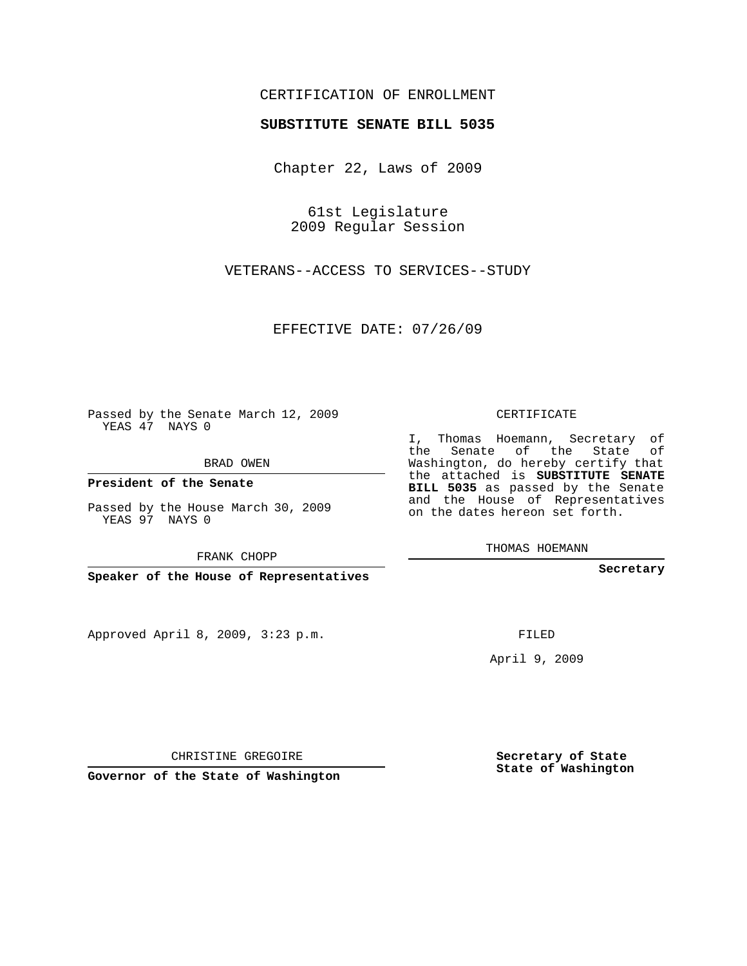## CERTIFICATION OF ENROLLMENT

## **SUBSTITUTE SENATE BILL 5035**

Chapter 22, Laws of 2009

61st Legislature 2009 Regular Session

VETERANS--ACCESS TO SERVICES--STUDY

EFFECTIVE DATE: 07/26/09

Passed by the Senate March 12, 2009 YEAS 47 NAYS 0

BRAD OWEN

**President of the Senate**

Passed by the House March 30, 2009 YEAS 97 NAYS 0

FRANK CHOPP

**Speaker of the House of Representatives**

Approved April 8, 2009, 3:23 p.m.

CERTIFICATE

I, Thomas Hoemann, Secretary of the Senate of the State of Washington, do hereby certify that the attached is **SUBSTITUTE SENATE BILL 5035** as passed by the Senate and the House of Representatives on the dates hereon set forth.

THOMAS HOEMANN

**Secretary**

FILED

April 9, 2009

**Secretary of State State of Washington**

CHRISTINE GREGOIRE

**Governor of the State of Washington**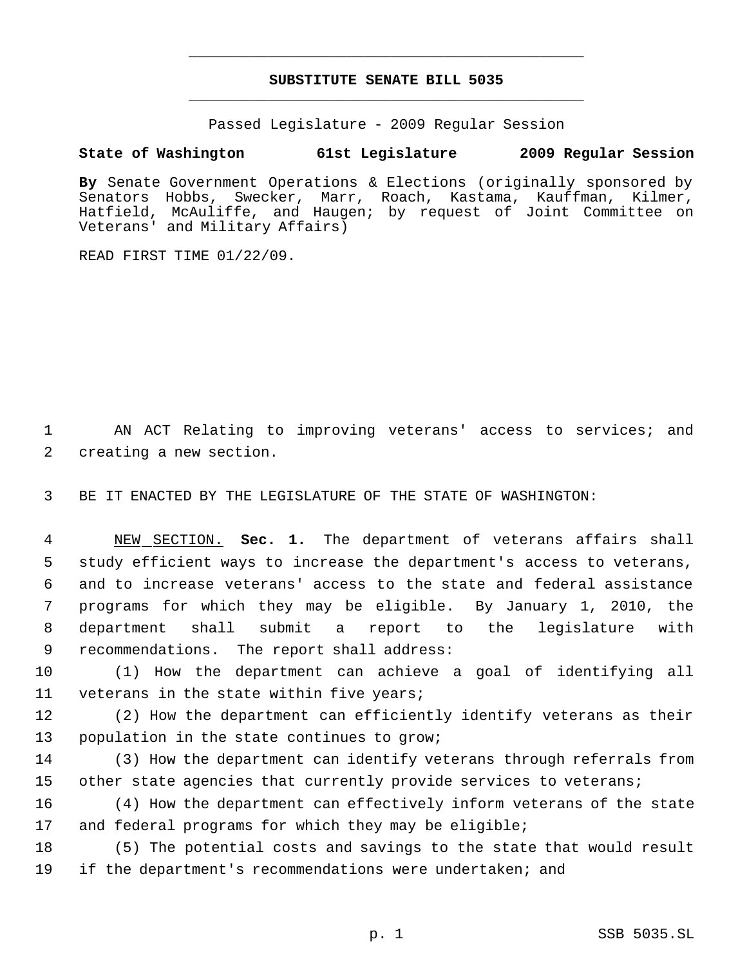## **SUBSTITUTE SENATE BILL 5035** \_\_\_\_\_\_\_\_\_\_\_\_\_\_\_\_\_\_\_\_\_\_\_\_\_\_\_\_\_\_\_\_\_\_\_\_\_\_\_\_\_\_\_\_\_

\_\_\_\_\_\_\_\_\_\_\_\_\_\_\_\_\_\_\_\_\_\_\_\_\_\_\_\_\_\_\_\_\_\_\_\_\_\_\_\_\_\_\_\_\_

Passed Legislature - 2009 Regular Session

## **State of Washington 61st Legislature 2009 Regular Session**

**By** Senate Government Operations & Elections (originally sponsored by Senators Hobbs, Swecker, Marr, Roach, Kastama, Kauffman, Kilmer, Hatfield, McAuliffe, and Haugen; by request of Joint Committee on Veterans' and Military Affairs)

READ FIRST TIME 01/22/09.

 1 AN ACT Relating to improving veterans' access to services; and 2 creating a new section.

3 BE IT ENACTED BY THE LEGISLATURE OF THE STATE OF WASHINGTON:

 NEW SECTION. **Sec. 1.** The department of veterans affairs shall study efficient ways to increase the department's access to veterans, and to increase veterans' access to the state and federal assistance programs for which they may be eligible. By January 1, 2010, the department shall submit a report to the legislature with recommendations. The report shall address:

10 (1) How the department can achieve a goal of identifying all 11 veterans in the state within five years;

12 (2) How the department can efficiently identify veterans as their 13 population in the state continues to grow;

14 (3) How the department can identify veterans through referrals from 15 other state agencies that currently provide services to veterans;

16 (4) How the department can effectively inform veterans of the state 17 and federal programs for which they may be eligible;

18 (5) The potential costs and savings to the state that would result 19 if the department's recommendations were undertaken; and